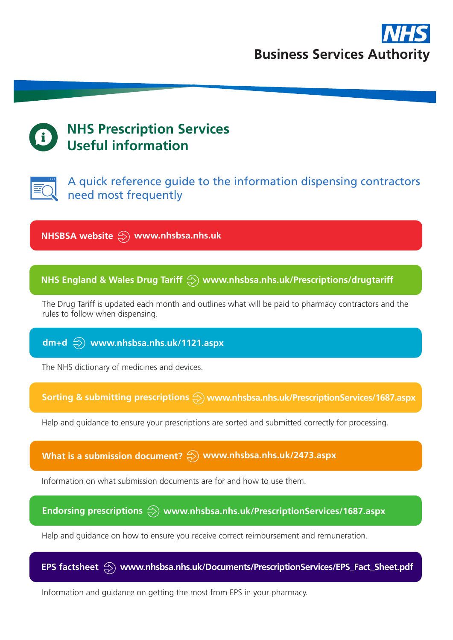

# **NHS Prescription Services Useful information**



A quick reference guide to the information dispensing contractors need most frequently

**NHSBSA website www.nhsbsa.nhs.uk**

### **NHS England & Wales Drug Tariff www.nhsbsa.nhs.uk/Prescriptions/drugtariff**

The Drug Tariff is updated each month and outlines what will be paid to pharmacy contractors and the rules to follow when dispensing.

#### **dm+d www.nhsbsa.nhs.uk/1121.aspx**

The NHS dictionary of medicines and devices.

Sorting & submitting prescriptions  $\bigcirc$  www.nhsbsa.nhs.uk/PrescriptionServices/1687.aspx

Help and guidance to ensure your prescriptions are sorted and submitted correctly for processing.

**What is a submission document? www.nhsbsa.nhs.uk/2473.aspx**

Information on what submission documents are for and how to use them.

# Endorsing prescriptions  $\overline{\textcircled{x}}$  www.nhsbsa.nhs.uk/PrescriptionServices/1687.aspx

Help and guidance on how to ensure you receive correct reimbursement and remuneration.



Information and guidance on getting the most from EPS in your pharmacy.